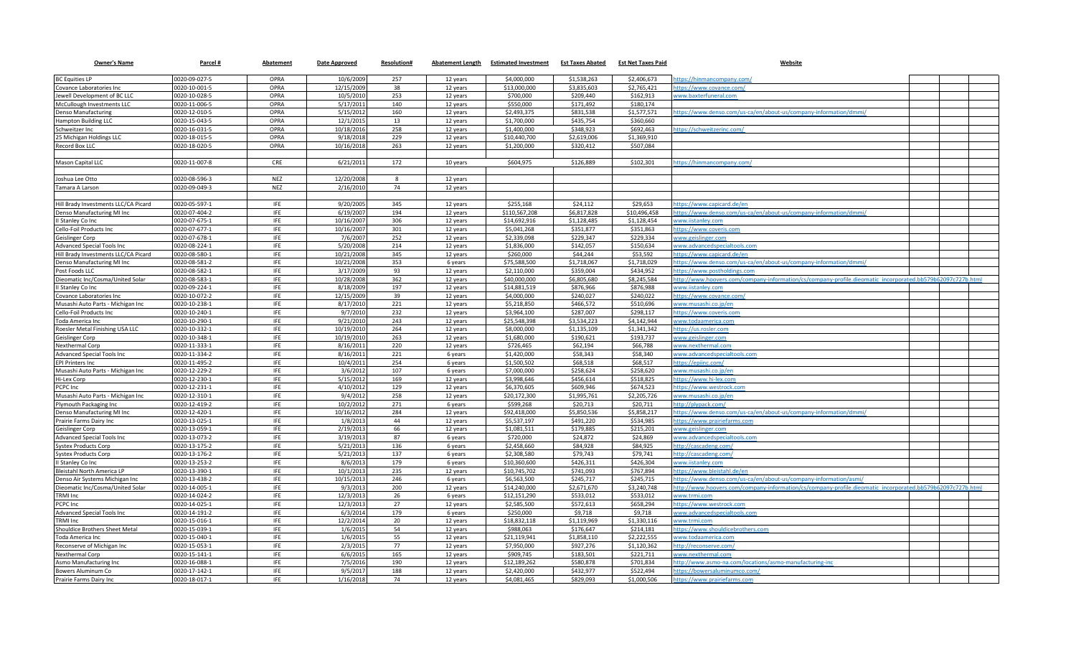| <b>Owner's Name</b>                  | Parcel #      | Abatement   | Date Approved | <b>Resolution#</b> | <b>Abatement Length</b> | <b>Estimated Investment</b> | <b>Est Taxes Abated</b> | <b>Est Net Taxes Paid</b> | <b>Website</b>                                                                                            |
|--------------------------------------|---------------|-------------|---------------|--------------------|-------------------------|-----------------------------|-------------------------|---------------------------|-----------------------------------------------------------------------------------------------------------|
| <b>BC Equities LP</b>                | 0020-09-027-5 | OPRA        | 10/6/2009     | 257                | 12 years                | \$4,000,000                 | \$1,538,263             | \$2,406,673               | ttps://hinmancompany.com/                                                                                 |
| Covance Laboratories Inc             | 0020-10-001-5 | OPRA        | 12/15/2009    | 38                 | 12 years                | \$13,000,000                | \$3,835,603             | \$2,765,421               | ittps://www.covance.com/                                                                                  |
| Jewell Development of BC LLC         | 0020-10-028-5 | <b>OPRA</b> | 10/5/2010     | 253                | 12 years                | \$700,000                   | \$209,440               | \$162.913                 | www.baxterfuneral.com                                                                                     |
| McCullough Investments LLC           | 0020-11-006-5 | <b>OPRA</b> | 5/17/2011     | 140                | 12 years                | \$550,000                   | \$171,492               | \$180,174                 |                                                                                                           |
| <b>Denso Manufacturing</b>           | 0020-12-010-5 | OPRA        | 5/15/201      | 160                | 12 years                | \$2,493,375                 | \$831,538               | \$1,577,571               | ittps://www.denso.com/us-ca/en/about-us/company-information/dmmi                                          |
| <b>Hampton Building LLC</b>          | 0020-15-043-5 | OPRA        | 12/1/2015     | 13                 | 12 years                | \$1,700,000                 | \$435,754               | \$360,660                 |                                                                                                           |
| Schweitzer Inc                       | 0020-16-031-5 | OPRA        | 10/18/2016    | 258                | 12 years                | \$1,400,000                 | \$348,923               | \$692,463                 | https://schweitzerinc.com/                                                                                |
| 25 Michigan Holdings LLC             | 0020-18-015-5 | OPRA        | 9/18/2018     | 229                | 12 years                | \$10,440,700                | \$2,619,006             | \$1,369,910               |                                                                                                           |
| Record Box LLC                       | 0020-18-020-5 | OPRA        | 10/16/2018    | 263                | 12 years                | \$1,200,000                 | \$320,412               | \$507,084                 |                                                                                                           |
|                                      |               |             |               |                    |                         |                             |                         |                           |                                                                                                           |
| Mason Capital LLC                    | 0020-11-007-8 | CRE         | 6/21/2011     | 172                | 10 years                | \$604,975                   | \$126,889               | \$102,301                 | ittps://hinmancompany.com/                                                                                |
|                                      |               |             |               |                    |                         |                             |                         |                           |                                                                                                           |
| Joshua Lee Otto                      | 0020-08-596-3 | <b>NEZ</b>  | 12/20/2008    | 8                  | 12 years                |                             |                         |                           |                                                                                                           |
| Tamara A Larson                      | 0020-09-049-3 | <b>NEZ</b>  | 2/16/2010     | 74                 | 12 years                |                             |                         |                           |                                                                                                           |
|                                      |               |             |               |                    |                         |                             |                         |                           |                                                                                                           |
| Hill Brady Investments LLC/CA Picard | 0020-05-597-1 | <b>IFE</b>  | 9/20/2005     | 345                | 12 years                | \$255,168                   | \$24,112                | \$29,653                  | nttps://www.capicard.de/en                                                                                |
| Denso Manufacturing MI Inc           | 0020-07-404-2 | <b>IFE</b>  | 6/19/2007     | 194                | 12 years                | \$110,567,208               | \$6,817,828             | \$10,496,458              | ttps://www.denso.com/us-ca/en/about-us/company-information/dmmi                                           |
| II Stanley Co Inc                    | 0020-07-675-1 | <b>IFE</b>  | 10/16/2007    | 306                | 12 years                | \$14,692,916                | \$1,128,485             | \$1,128,454               | ww.iistanley.com                                                                                          |
| Cello-Foil Products Inc              | 0020-07-677-1 | <b>IFE</b>  | 10/16/2007    | 301                | 12 years                | \$5,041,268                 | \$351,877               | \$351,863                 | ittps://www.coveris.com                                                                                   |
| <b>Geislinger Corp</b>               | 0020-07-678-1 | <b>IFE</b>  | 7/6/2007      | 252                | 12 years                | \$2,339,098                 | \$229,347               | \$229,334                 | www.geislinger.com                                                                                        |
| Advanced Special Tools Inc           | 0020-08-224-1 | <b>IFE</b>  | 5/20/2008     | 214                | 12 years                | \$1,836,000                 | \$142,057               | \$150,634                 | ww.advancedspecialtools.com                                                                               |
| Hill Brady Investments LLC/CA Picard | 0020-08-580-1 | <b>IFE</b>  | 10/21/2008    | 345                | 12 years                | \$260,000                   | \$44.244                | \$53,592                  | nttps://www.capicard.de/en                                                                                |
| Denso Manufacturing MI Inc           | 0020-08-581-2 | <b>IFE</b>  | 10/21/2008    | 353                | 6 years                 | \$75,588,500                | \$1,718,067             | \$1,718,029               | ttps://www.denso.com/us-ca/en/about-us/company-information/dmmi/                                          |
| Post Foods LLC                       | 0020-08-582-1 | <b>IFE</b>  | 3/17/2009     | 93                 | 12 years                | \$2,110,000                 | \$359,004               | \$434,952                 | ttps://www.postholdings.com                                                                               |
| Dieomatic Inc/Cosma/United Solar     | 0020-08-583-1 | <b>IFE</b>  | 10/28/2008    | 362                | 12 years                | \$40,000,000                | \$6,805,680             | \$8,245,584               | ttp://www.hoovers.com/company-information/cs/company-profile.dieomatic incorporated.bb579b62097c727b.html |
| II Stanley Co Inc                    | 0020-09-224-1 | <b>IFE</b>  | 8/18/2009     | 197                | 12 years                | \$14,881,519                | \$876,966               | \$876,988                 | www.iistanley.com                                                                                         |
| Covance Laboratories Inc.            | 0020-10-072-2 | <b>IFE</b>  | 12/15/2009    | 39                 | 12 years                | \$4,000,000                 | \$240.027               | \$240.022                 | https://www.covance.com/                                                                                  |
| Musashi Auto Parts - Michigan Inc    | 0020-10-238-1 | <b>IFE</b>  | 8/17/2010     | 221                | 12 years                | \$5,218,850                 | \$466,572               | \$510,696                 | www.musashi.co.ip/en                                                                                      |
| Cello-Foil Products Inc              | 0020-10-240-1 | <b>IFE</b>  | 9/7/2010      | 232                | 12 years                | \$3,964,100                 | \$287,007               | \$298,117                 | ttps://www.coveris.com                                                                                    |
| Toda America Inc                     | 0020-10-290-1 | <b>IFE</b>  | 9/21/2010     | 243                | 12 years                | \$25,548,398                | \$3,534,223             | \$4,142,944               | ww.todaamerica.com                                                                                        |
| Roesler Metal Finishing USA LLC      | 0020-10-332-1 | <b>IFE</b>  | 10/19/2010    | 264                | 12 years                | \$8,000,000                 | \$1,135,109             | \$1,341,342               | ttps://us.rosler.com                                                                                      |
| Geislinger Corp                      | 0020-10-348-1 | <b>IFE</b>  | 10/19/2010    | 263                | 12 years                | \$1,680,000                 | \$190,621               | \$193,737                 | vww.geislinger.com                                                                                        |
| Nexthermal Corp                      | 0020-11-333-1 | <b>IFE</b>  | 8/16/2011     | 220                | 12 years                | \$726,465                   | \$62,194                | \$66,788                  | vww.nexthermal.com                                                                                        |
| Advanced Special Tools Inc           | 0020-11-334-2 | <b>IFE</b>  | 8/16/2011     | 221                | 6 years                 | \$1,420,000                 | \$58,343                | \$58,340                  | ww.advancedspecialtools.com                                                                               |
| <b>EPI Printers Inc</b>              | 0020-11-495-2 | <b>IFE</b>  | 10/4/2011     | 254                | 6 years                 | \$1,500,502                 | \$68,518                | \$68,517                  | https://epiinc.com/                                                                                       |
| Musashi Auto Parts - Michigan Inc    | 0020-12-229-2 | <b>IFE</b>  | 3/6/2012      | 107                | 6 years                 | \$7,000,000                 | \$258,624               | \$258.620                 | www.musashi.co.jp/en                                                                                      |
| <b>Hi-Lex Corp</b>                   | 0020-12-230-1 | <b>IFE</b>  | 5/15/2012     | 169                | 12 years                | \$3,998,646                 | \$456,614               | \$518,825                 | ttps://www.hi-lex.com                                                                                     |
| PCPC Inc                             | 0020-12-231-1 | <b>IFE</b>  | 4/10/2012     | 129                | 12 years                | \$6,370,605                 | \$609,946               | \$674,523                 | nttps://www.westrock.com                                                                                  |
| Musashi Auto Parts - Michigan Inc    | 0020-12-310-1 | <b>IFE</b>  | 9/4/2012      | 258                | 12 years                | \$20,172,300                | \$1,995,761             | \$2,205,726               | www.musashi.co.ip/er                                                                                      |
| Plymouth Packaging Inc               | 0020-12-419-2 | <b>IFE</b>  | 10/2/2012     | 271                | 6 years                 | \$599,268                   | \$20,713                | \$20,711                  | ttp://plypack.com/                                                                                        |
| Denso Manufacturing MI Inc           | 0020-12-420-1 | <b>IFE</b>  | 10/16/2012    | 284                | 12 years                | \$92,418,000                | \$5,850,536             | \$5,858,217               | ttps://www.denso.com/us-ca/en/about-us/company-information/dmmi                                           |
| Prairie Farms Dairy Inc              | 0020-13-025-1 | <b>IFE</b>  | 1/8/201       | 44                 | 12 years                | \$5,537,197                 | \$491,220               | \$534,985                 | ittps://www.prairiefarms.com                                                                              |
| Geislinger Corp                      | 0020-13-059-1 | <b>IFE</b>  | 2/19/2013     | 66                 | 12 years                | \$1,081,511                 | \$179,885               | \$215,201                 | www.geislinger.com                                                                                        |
| Advanced Special Tools Inc           | 0020-13-073-2 | <b>IFE</b>  | 3/19/2013     | 87                 | 6 years                 | \$720,000                   | \$24,872                | \$24,869                  | vww.advancedspecialtools.com                                                                              |
| <b>Systex Products Corp</b>          | 0020-13-175-2 | <b>IFE</b>  | 5/21/2013     | 136                | 6 years                 | \$2,458,660                 | \$84,928                | \$84,925                  | ttp://cascadeng.com                                                                                       |
| <b>Systex Products Corp</b>          | 0020-13-176-2 | <b>IFE</b>  | 5/21/2013     | 137                | 6 years                 | \$2,308,580                 | \$79,743                | \$79,741                  | http://cascadeng.com/                                                                                     |
| II Stanley Co Inc                    | 0020-13-253-2 | <b>IFE</b>  | 8/6/2013      | 179                | 6 years                 | \$10,360,600                | \$426,311               | \$426,304                 | www.iistanley.com                                                                                         |
| Bleistahl North America LP           | 0020-13-390-1 | <b>IFE</b>  | 10/1/2013     | 235                | 12 years                | \$10,745,702                | \$741,093               | \$767,894                 | nttps://www.bleistahl.de/en                                                                               |
| Denso Air Systems Michigan Inc       | 0020-13-438-2 | <b>IFE</b>  | 10/15/2013    | 246                | 6 years                 | \$6,563,500                 | \$245,717               | \$245,715                 | /1ttps://www.denso.com/us-ca/en/about-us/company-information/asmi                                         |
| Dieomatic Inc/Cosma/United Solar     | 0020-14-005-1 | <b>IFE</b>  | 9/3/2013      | 200                | 12 years                | \$14,240,000                | \$2,671,670             | \$3,240,748               | ttp://www.hoovers.com/company-information/cs/company-profile.dieomatic_incorporated.bb579b62097c727b.htm  |
| <b>TRMI Inc</b>                      | 0020-14-024-2 | <b>IFE</b>  | 12/3/2013     | 26                 | 6 years                 | \$12,151,290                | \$533,012               | \$533,012                 | www.trmi.com                                                                                              |
| PCPC Inc                             | 0020-14-025-1 | <b>IFE</b>  | 12/3/2013     | 27                 | 12 years                | \$2,585,500                 | \$572,613               | \$658,294                 | ittps://www.westrock.com                                                                                  |
| Advanced Special Tools Inc           | 0020-14-191-2 | <b>IFE</b>  | 6/3/2014      | 179                | 6 years                 | \$250,000                   | \$9,718                 | \$9,718                   | vww.advancedspecialtools.com                                                                              |
| TRMI Inc                             | 0020-15-016-1 | <b>IFE</b>  | 12/2/2014     | 20                 | 12 years                | \$18,832,118                | \$1,119,969             | \$1,330,116               | www.trmi.com                                                                                              |
| Shouldice Brothers Sheet Metal       | 0020-15-039-1 | IFE.        | 1/6/2015      | 54                 | 12 years                | \$988,063                   | \$176,647               | \$214,181                 | ttps://www.shouldicebrothers.com                                                                          |
| Toda America Inc                     | 0020-15-040-1 | <b>IFE</b>  | 1/6/2015      | 55                 | 12 years                | \$21,119,941                | \$1,858,110             | \$2,222,555               | ww.todaamerica.com                                                                                        |
| Reconserve of Michigan Inc           | 0020-15-053-1 | <b>IFE</b>  | 2/3/2015      | 77                 | 12 years                | \$7,950,000                 | \$927,276               | \$1,120,362               | /1ttp://reconserve.com                                                                                    |
| Nexthermal Corp                      | 0020-15-141-1 | <b>IFE</b>  | 6/6/2015      | 165                | 12 years                | \$909,745                   | \$183,501               | \$221,711                 | ww.nexthermal.com                                                                                         |
| Asmo Manufacturing Inc               | 0020-16-088-1 | <b>IFE</b>  | 7/5/2016      | 190                | 12 years                | \$12,189,262                | \$580,878               | \$701,834                 | nttp://www.asmo-na.com/locations/asmo-manufacturing-inc                                                   |
| Bowers Aluminum Co                   | 0020-17-142-1 | <b>IFE</b>  | 9/5/2017      | 188                | 12 years                | \$2,420,000                 | \$432,977               | \$522.494                 | https://bowersaluminumco.com/                                                                             |
| Prairie Farms Dairy Inc              | 0020-18-017-1 | <b>IFE</b>  | 1/16/2018     | 74                 | 12 years                | \$4,081,465                 | \$829,093               | \$1,000,506               | https://www.prairiefarms.com                                                                              |
|                                      |               |             |               |                    |                         |                             |                         |                           |                                                                                                           |